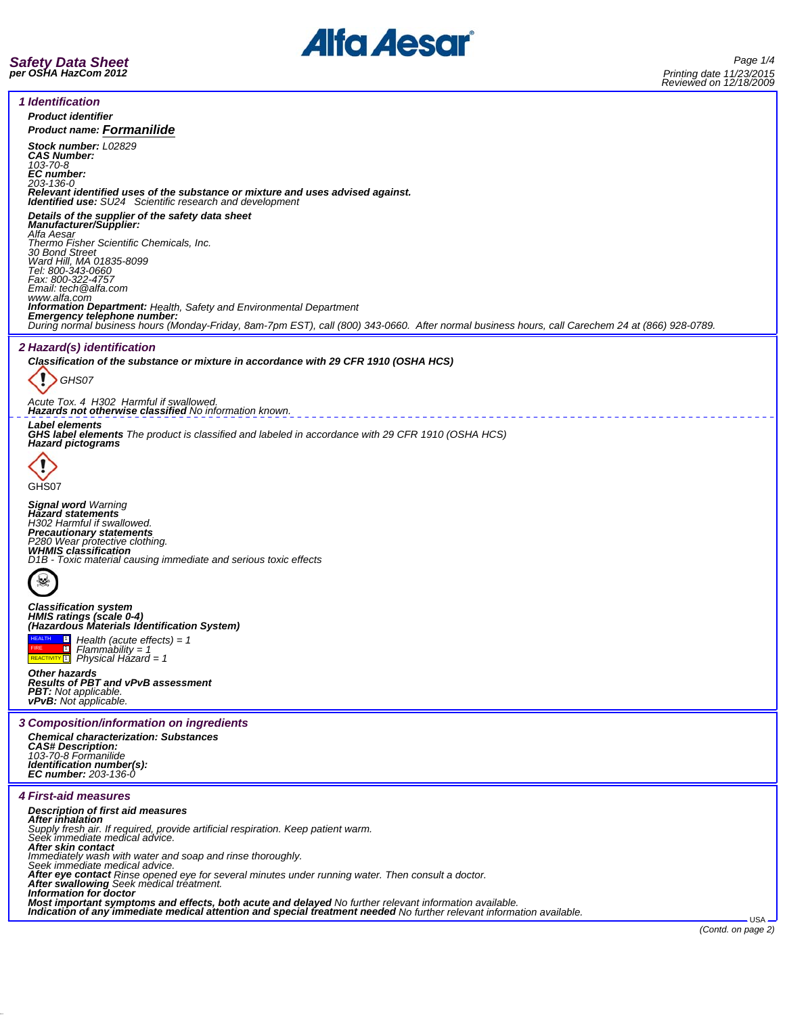



*1 Identification Product identifier Product name: Formanilide Stock number: L02829 CAS Number: 103-70-8 EC number: 203-136-0 Relevant identified uses of the substance or mixture and uses advised against. Identified use: SU24 Scientific research and development Details of the supplier of the safety data sheet Manufacturer/Supplier: Alfa Aesar Thermo Fisher Scientific Chemicals, Inc. 30 Bond Street Ward Hill, MA 01835-8099 Tel: 800-343-0660 Fax: 800-322-4757 Email: tech@alfa.com* www.alfa.com<br>**Information Department:** Health, Safety and Environmental Department **Information Department:** Health, Safety and Environmental Department<br>**Emergency telephone number:**<br>During normal business hours (Monday-Friday, 8am-7pm EST), call (800) 343-0660. After normal business hours, call Carechem *2 Hazard(s) identification Classification of the substance or mixture in accordance with 29 CFR 1910 (OSHA HCS)* ï *GHS07 Acute Tox. 4 H302 Harmful if swallowed. Hazards not otherwise classified No information known. Label elements GHS label elements The product is classified and labeled in accordance with 29 CFR 1910 (OSHA HCS) Hazard pictograms* GHS07 *Signal word Warning Hazard statements H302 Harmful if swallowed. Precautionary statements P280 Wear protective clothing. WHMIS classification D1B - Toxic material causing immediate and serious toxic effects*  $\mathbf{r}$ *Classification system HMIS ratings (scale 0-4) (Hazardous Materials Identification System)*  $|\mathbf{u}|$ *Health (acute effects) = 1* HEALTH  $\blacksquare$ **FIRE** *Flammability = 1 Physical Hazard = 1* REACTIVITY<sup>1</sup> *Other hazards Results of PBT and vPvB assessment PBT: Not applicable. vPvB: Not applicable. 3 Composition/information on ingredients Chemical characterization: Substances CAS# Description: 103-70-8 Formanilide Identification number(s): EC number: 203-136-0 4 First-aid measures Description of first aid measures* **After inhalation**<br>Supply fresh air. If required, provide artificial respiration. Keep patient warm.<br>Seek immediate medical advice. *After skin contact Immediately wash with water and soap and rinse thoroughly. Seek immediate medical advice. After eye contact Rinse opened eye for several minutes under running water. Then consult a doctor. After swallowing Seek medical treatment. Information for doctor* Most important symptoms and effects, both acute and delayed No further relevant information available.<br>Indication of any immediate medical attention and special treatment needed No further relevant information available. USA *(Contd. on page 2)*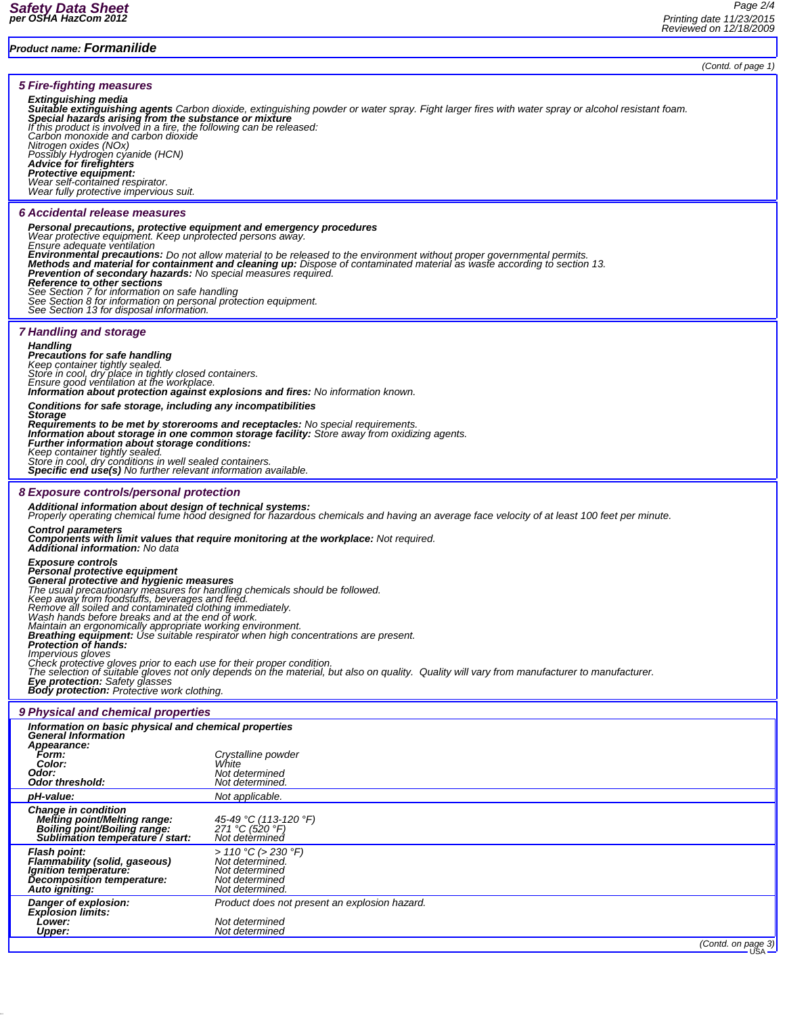## *(Contd. of page 1) 5 Fire-fighting measures Extinguishing media Suitable extinguishing agents Carbon dioxide, extinguishing powder or water spray. Fight larger fires with water spray or alcohol resistant foam. Special hazards arising from the substance or mixture If this product is involved in a fire, the following can be released: Carbon monoxide and carbon dioxide* Carbon monoxide and carbon dioxide<br>Nitrogen oxides (NOx) *Possibly Hydrogen cyanide (HCN) Advice for firefighters Protective equipment: Wear self-contained respirator. Wear fully protective impervious suit. 6 Accidental release measures Personal precautions, protective equipment and emergency procedures Wear protective equipment. Keep unprotected persons away. Ensure adequate ventilation* Environmental precautions: Do not allow material to be released to the environment without proper governmental permits.<br>Methods and material for containment and cleaning up: Dispose of contaminated material as waste accord *See Section 7 for information on safe handling See Section 8 for information on personal protection equipment. See Section 13 for disposal information. 7 Handling and storage Handling Precautions for safe handling Keep container tightly sealed. Store in cool, dry place in tightly closed containers. Ensure good ventilation at the workplace. Information about protection against explosions and fires: No information known. Conditions for safe storage, including any incompatibilities* Storage<br>Requirements to be met by storerooms and receptacles: No special requirements.<br>Information about storage in one common storage facility: Store away from oxidizing agents.<br>Further information about storage condition *Keep container tightly sealed. Store in cool, dry conditions in well sealed containers. Specific end use(s) No further relevant information available. 8 Exposure controls/personal protection Additional information about design of technical systems: Properly operating chemical fume hood designed for hazardous chemicals and having an average face velocity of at least 100 feet per minute.* Control parameters<br>Components with limit values that require monitoring at the workplace: Not required.<br>Additional information: No data *Exposure controls Personal protective equipment General protective and hygienic measures* The usual precautionary measures for handling chemicals should be followed.<br>Keep away from foodstuffs, beverages and feed.<br>Remove all soiled and contaminated clothing immediately.<br>Wash hands before breaks and at the end of *Breathing equipment: Use suitable respirator when high concentrations are present. Protection of hands: Impervious gloves* Check protective gloves prior to each use for their proper condition.<br>The selection of suitable gloves not only depends on the material, but also on quality. Quality will vary from manufacturer to manufacturer. *Eye protection: Safety glasses Body protection: Protective work clothing. 9 Physical and chemical properties Information on basic physical and chemical properties General Information Appearance: Form: Crystalline powder Color: White Odor: Not determined Odor threshold: Not determined. pH-value: Not applicable. Change in condition Melting point/Melting range: 45-49 °C (113-120 °F) Boiling point/Boiling range: 271 °C (520 °F) Sublimation temperature / start: Not determined Flash point: > 110 °C (> 230 °F) Flammability (solid, gaseous) Not determined. Ignition temperature: Not determined Decomposition temperature: Not determined Auto igniting:*

*Danger of explosion: Product does not present an explosion hazard. Explosion limits: Lower: Not determined Upper: Not determined*

*(Contd. on page 3)* USA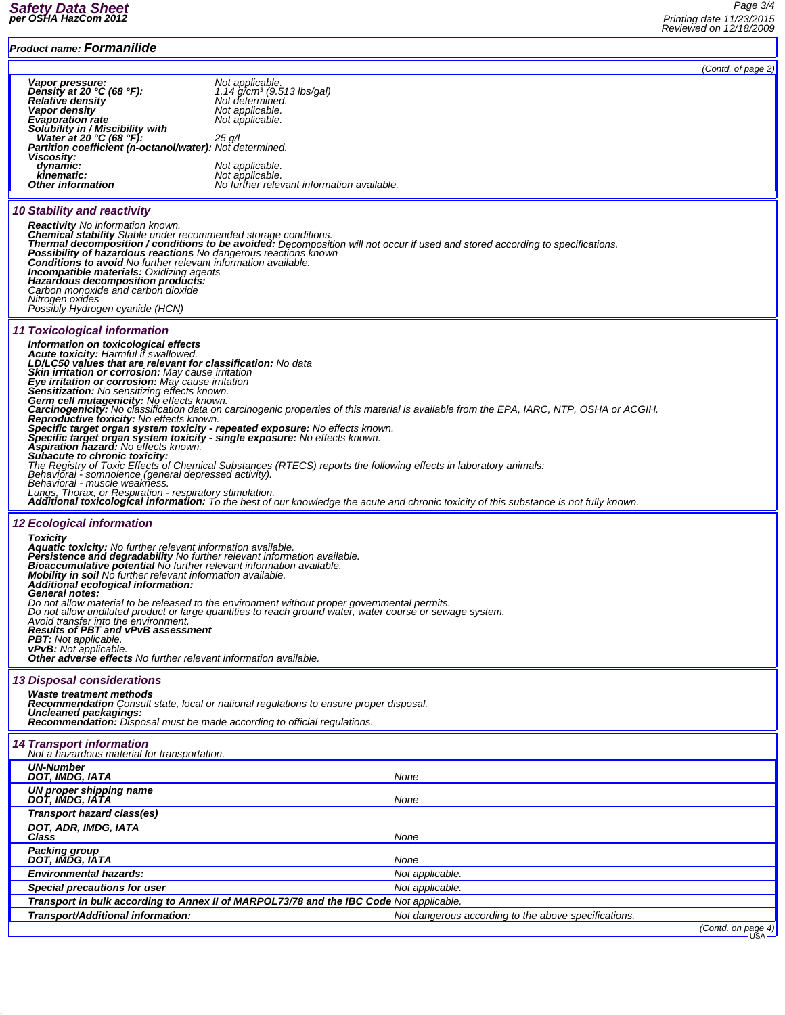| <b>Product name: Formanilide</b>                                                                                                                                                                                                                                                                                                                                                                                                                                                                                                                                                                                                                                                                                             |                                                                                                                                                                                                                                                                                                                                                                                                                                                                                          |                            |
|------------------------------------------------------------------------------------------------------------------------------------------------------------------------------------------------------------------------------------------------------------------------------------------------------------------------------------------------------------------------------------------------------------------------------------------------------------------------------------------------------------------------------------------------------------------------------------------------------------------------------------------------------------------------------------------------------------------------------|------------------------------------------------------------------------------------------------------------------------------------------------------------------------------------------------------------------------------------------------------------------------------------------------------------------------------------------------------------------------------------------------------------------------------------------------------------------------------------------|----------------------------|
|                                                                                                                                                                                                                                                                                                                                                                                                                                                                                                                                                                                                                                                                                                                              |                                                                                                                                                                                                                                                                                                                                                                                                                                                                                          | (Contd. of page 2)         |
| Vapor pressure:<br>Density at 20 °C (68 °F):<br><b>Relative density</b><br>Vapor density<br><b>Evaporation rate</b><br>Solubility in / Miscibility with<br>Water at 20 °C (68 °F):<br><b>Partition coefficient (n-octanol/water):</b> Not determined.<br>Viscosity:<br>dynamic:<br>kinematic:<br><b>Other information</b>                                                                                                                                                                                                                                                                                                                                                                                                    | Not applicable.<br>1.14 g/cmª (9.513 lbs/gal)<br>Not determined.<br>Not applicable.<br>Not applicable.<br>$25$ g/l<br>Not applicable.<br>Not applicable.<br>No further relevant information available.                                                                                                                                                                                                                                                                                   |                            |
| <b>10 Stability and reactivity</b>                                                                                                                                                                                                                                                                                                                                                                                                                                                                                                                                                                                                                                                                                           |                                                                                                                                                                                                                                                                                                                                                                                                                                                                                          |                            |
| <b>Reactivity</b> No information known.<br>Chemical stability Stable under recommended storage conditions.<br>Possibility of hazardous reactions No dangerous reactions known<br>Conditions to avoid No further relevant information available.<br><b>Incompatible materials:</b> Oxidizing agents<br>Hazardous decomposition products:<br>Carbon monoxide and carbon dioxide<br>Nitrogen oxides<br>Possibly Hydrogen cyanide (HCN)                                                                                                                                                                                                                                                                                          | Thermal decomposition / conditions to be avoided: Decomposition will not occur if used and stored according to specifications.                                                                                                                                                                                                                                                                                                                                                           |                            |
| <b>11 Toxicological information</b>                                                                                                                                                                                                                                                                                                                                                                                                                                                                                                                                                                                                                                                                                          |                                                                                                                                                                                                                                                                                                                                                                                                                                                                                          |                            |
| Information on toxicological effects<br>Acute toxicity: Harmful if swallowed.<br>LD/LC50 values that are relevant for classification: No data<br><b>Skin irritation or corrosion:</b> May cause irritation<br>Eye irritation or corrosion: May cause irritation<br><b>Sensitization:</b> No sensitizing effects known.<br>Germ cell mutagenicity: No effects known.<br>Reproductive toxicity: No effects known.<br>Specific target organ system toxicity - single exposure: No effects known.<br>Aspiration hazard: No effects known.<br>Subacute to chronic toxicity:<br>Behavioral - somnolence (general depressed activity).<br>Behavioral - muscle weakness.<br>Lungs, Thorax, or Respiration - respiratory stimulation. | Carcinogenicity: No classification data on carcinogenic properties of this material is available from the EPA, IARC, NTP, OSHA or ACGIH.<br>Specific target organ system toxicity - repeated exposure: No effects known.<br>The Registry of Toxic Effects of Chemical Substances (RTECS) reports the following effects in laboratory animals:<br>Additional toxicological information: To the best of our knowledge the acute and chronic toxicity of this substance is not fully known. |                            |
| <b>12 Ecological information</b>                                                                                                                                                                                                                                                                                                                                                                                                                                                                                                                                                                                                                                                                                             |                                                                                                                                                                                                                                                                                                                                                                                                                                                                                          |                            |
| <b>Toxicity</b><br><b>Aquatic toxicity:</b> No further relevant information available.<br>Persistence and degradability No further relevant information available.<br><b>Bioaccumulative potential No further relevant information available.</b><br><b>Mobility in soil</b> No further relevant information available.<br>Additional ecological information:<br><b>General notes:</b><br>Avoid transfer into the environment.<br><b>Results of PBT and vPvB assessment</b><br><b>PBT:</b> Not applicable.<br><b>vPvB:</b> Not applicable.<br>Other adverse effects No further relevant information available.                                                                                                               | Do not allow material to be released to the environment without proper governmental permits.<br>Do not allow undiluted product or large quantities to reach ground water, water course or sewage system.                                                                                                                                                                                                                                                                                 |                            |
| <b>13 Disposal considerations</b>                                                                                                                                                                                                                                                                                                                                                                                                                                                                                                                                                                                                                                                                                            |                                                                                                                                                                                                                                                                                                                                                                                                                                                                                          |                            |
| Waste treatment methods<br>Uncleaned packagings:<br><b>Recommendation:</b> Disposal must be made according to official regulations.                                                                                                                                                                                                                                                                                                                                                                                                                                                                                                                                                                                          | <b>Recommendation</b> Consult state, local or national regulations to ensure proper disposal.                                                                                                                                                                                                                                                                                                                                                                                            |                            |
| <b>14 Transport information</b><br>Not a hazardous material for transportation.                                                                                                                                                                                                                                                                                                                                                                                                                                                                                                                                                                                                                                              |                                                                                                                                                                                                                                                                                                                                                                                                                                                                                          |                            |
| <b>UN-Number</b><br>DOT, IMDG, IATA                                                                                                                                                                                                                                                                                                                                                                                                                                                                                                                                                                                                                                                                                          | None                                                                                                                                                                                                                                                                                                                                                                                                                                                                                     |                            |
| UN proper shipping name<br>DOT, IMDG, IATA                                                                                                                                                                                                                                                                                                                                                                                                                                                                                                                                                                                                                                                                                   | None                                                                                                                                                                                                                                                                                                                                                                                                                                                                                     |                            |
| Transport hazard class(es)                                                                                                                                                                                                                                                                                                                                                                                                                                                                                                                                                                                                                                                                                                   |                                                                                                                                                                                                                                                                                                                                                                                                                                                                                          |                            |
| DOT, ADR, IMDG, IATA<br>Class                                                                                                                                                                                                                                                                                                                                                                                                                                                                                                                                                                                                                                                                                                | None                                                                                                                                                                                                                                                                                                                                                                                                                                                                                     |                            |
| Packing group<br>DOT, IMDG, IATA                                                                                                                                                                                                                                                                                                                                                                                                                                                                                                                                                                                                                                                                                             | None                                                                                                                                                                                                                                                                                                                                                                                                                                                                                     |                            |
| <b>Environmental hazards:</b>                                                                                                                                                                                                                                                                                                                                                                                                                                                                                                                                                                                                                                                                                                | Not applicable.                                                                                                                                                                                                                                                                                                                                                                                                                                                                          |                            |
| Special precautions for user                                                                                                                                                                                                                                                                                                                                                                                                                                                                                                                                                                                                                                                                                                 | Not applicable.                                                                                                                                                                                                                                                                                                                                                                                                                                                                          |                            |
| Transport/Additional information:                                                                                                                                                                                                                                                                                                                                                                                                                                                                                                                                                                                                                                                                                            | Transport in bulk according to Annex II of MARPOL73/78 and the IBC Code Not applicable.<br>Not dangerous according to the above specifications.                                                                                                                                                                                                                                                                                                                                          |                            |
|                                                                                                                                                                                                                                                                                                                                                                                                                                                                                                                                                                                                                                                                                                                              |                                                                                                                                                                                                                                                                                                                                                                                                                                                                                          | (Contd. on page 4)<br>USA. |